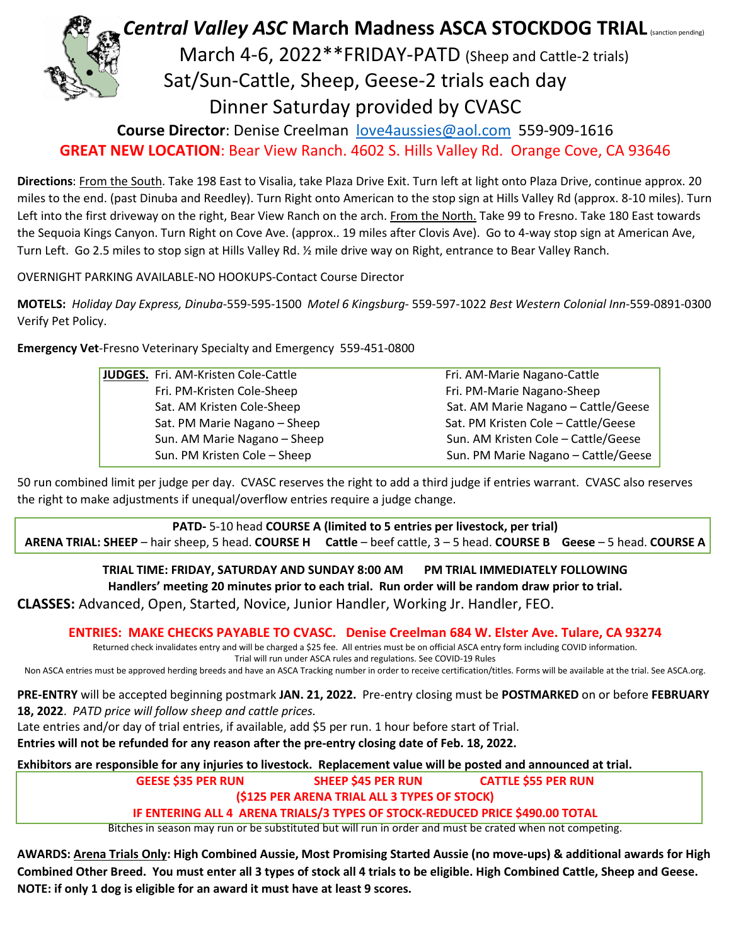

**Course Director**: Denise Creelman [love4aussies@aol.com](mailto:love4aussies@aol.com) 559-909-1616

**GREAT NEW LOCATION**: Bear View Ranch. 4602 S. Hills Valley Rd. Orange Cove, CA 93646

**Directions**: From the South. Take 198 East to Visalia, take Plaza Drive Exit. Turn left at light onto Plaza Drive, continue approx. 20 miles to the end. (past Dinuba and Reedley). Turn Right onto American to the stop sign at Hills Valley Rd (approx. 8-10 miles). Turn Left into the first driveway on the right, Bear View Ranch on the arch. From the North. Take 99 to Fresno. Take 180 East towards the Sequoia Kings Canyon. Turn Right on Cove Ave. (approx.. 19 miles after Clovis Ave). Go to 4-way stop sign at American Ave, Turn Left. Go 2.5 miles to stop sign at Hills Valley Rd. ½ mile drive way on Right, entrance to Bear Valley Ranch.

OVERNIGHT PARKING AVAILABLE-NO HOOKUPS-Contact Course Director

**MOTELS:** *Holiday Day Express, Dinuba*-559-595-1500 *Motel 6 Kingsburg*- 559-597-1022 *Best Western Colonial Inn*-559-0891-0300 Verify Pet Policy.

**Emergency Vet**-Fresno Veterinary Specialty and Emergency 559-451-0800

| JUDGES. Fri. AM-Kristen Cole-Cattle | Fri. AM-Marie Nagano-Cattle         |
|-------------------------------------|-------------------------------------|
| Fri. PM-Kristen Cole-Sheep          | Fri. PM-Marie Nagano-Sheep          |
| Sat. AM Kristen Cole-Sheep          | Sat. AM Marie Nagano - Cattle/Geese |
| Sat. PM Marie Nagano - Sheep        | Sat. PM Kristen Cole - Cattle/Geese |
| Sun. AM Marie Nagano - Sheep        | Sun. AM Kristen Cole - Cattle/Geese |
| Sun. PM Kristen Cole - Sheep        | Sun. PM Marie Nagano - Cattle/Geese |
|                                     |                                     |

50 run combined limit per judge per day. CVASC reserves the right to add a third judge if entries warrant. CVASC also reserves the right to make adjustments if unequal/overflow entries require a judge change.

**PATD-** 5-10 head **COURSE A (limited to 5 entries per livestock, per trial) ARENA TRIAL: SHEEP** – hair sheep, 5 head. **COURSE H Cattle** – beef cattle, 3 – 5 head. **COURSE B Geese** – 5 head. **COURSE A**

**TRIAL TIME: FRIDAY, SATURDAY AND SUNDAY 8:00 AM PM TRIAL IMMEDIATELY FOLLOWING Handlers' meeting 20 minutes prior to each trial. Run order will be random draw prior to trial. CLASSES:** Advanced, Open, Started, Novice, Junior Handler, Working Jr. Handler, FEO.

**ENTRIES: MAKE CHECKS PAYABLE TO CVASC. Denise Creelman 684 W. Elster Ave. Tulare, CA 93274**

Returned check invalidates entry and will be charged a \$25 fee. All entries must be on official ASCA entry form including COVID information. Trial will run under ASCA rules and regulations. See COVID-19 Rules

Non ASCA entries must be approved herding breeds and have an ASCA Tracking number in order to receive certification/titles. Forms will be available at the trial. See ASCA.org.

**PRE-ENTRY** will be accepted beginning postmark **JAN. 21, 2022.** Pre-entry closing must be **POSTMARKED** on or before **FEBRUARY 18, 2022**. *PATD price will follow sheep and cattle prices.*

Late entries and/or day of trial entries, if available, add \$5 per run. 1 hour before start of Trial.

**Entries will not be refunded for any reason after the pre-entry closing date of Feb. 18, 2022.**

**Exhibitors are responsible for any injuries to livestock. Replacement value will be posted and announced at trial.**

**GEESE \$35 PER RUN SHEEP \$45 PER RUN CATTLE \$55 PER RUN**

**(\$125 PER ARENA TRIAL ALL 3 TYPES OF STOCK)** 

**IF ENTERING ALL 4 ARENA TRIALS/3 TYPES OF STOCK-REDUCED PRICE \$490.00 TOTAL**

Bitches in season may run or be substituted but will run in order and must be crated when not competing.

**AWARDS: Arena Trials Only: High Combined Aussie, Most Promising Started Aussie (no move-ups) & additional awards for High Combined Other Breed. You must enter all 3 types of stock all 4 trials to be eligible. High Combined Cattle, Sheep and Geese. NOTE: if only 1 dog is eligible for an award it must have at least 9 scores.**